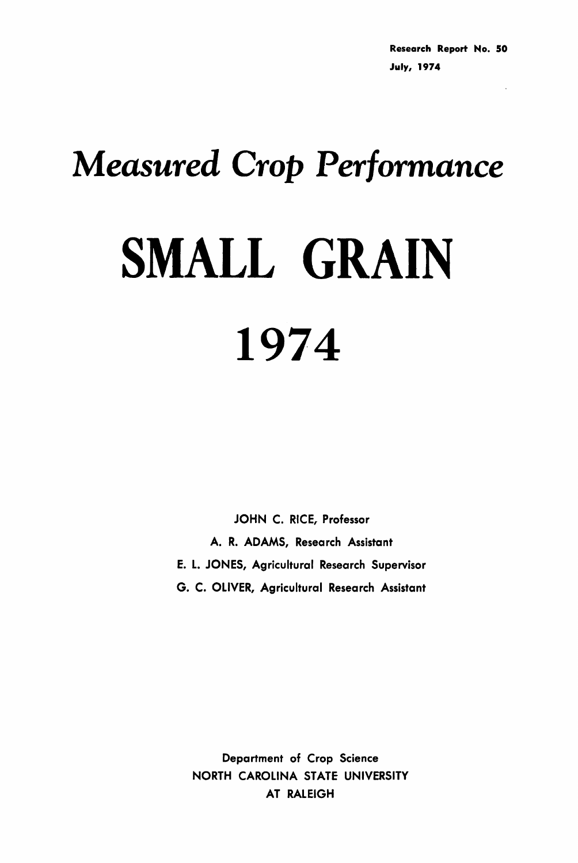# *Measured Crop Performance*

## SMALL GRAIN 1974

JOHN C. RICE, Professor A. R. ADAMS, Research Assistant E. L. JONES, Agricultural Research Supervisor G. C. OLIVER, Agricultural Research Assistant

Department of Crop Science NORTH CAROLINA STATE UNIVERSITY AT RALEIGH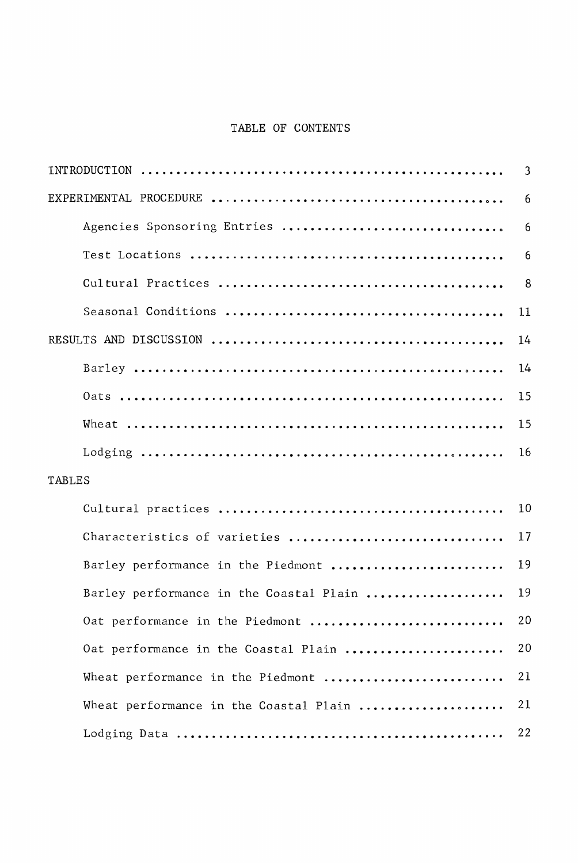#### TABLE OF CONTENTS

|                                                                                                      | 3  |
|------------------------------------------------------------------------------------------------------|----|
|                                                                                                      | 6  |
| Agencies Sponsoring Entries                                                                          | 6  |
|                                                                                                      | 6  |
|                                                                                                      | 8  |
|                                                                                                      | 11 |
|                                                                                                      | 14 |
|                                                                                                      | 14 |
|                                                                                                      | 15 |
|                                                                                                      | 15 |
| Lodging $\dots\dots\dots\dots\dots\dots\dots\dots\dots\dots\dots\dots\dots\dots\dots\dots\dots\dots$ | 16 |
| TABLES                                                                                               |    |
|                                                                                                      | 10 |
| Characteristics of varieties                                                                         | 17 |
| Barley performance in the Piedmont                                                                   | 19 |
| Barley performance in the Coastal Plain                                                              | 19 |
| Oat performance in the Piedmont                                                                      | 20 |
| Oat performance in the Coastal Plain                                                                 | 20 |
| Wheat performance in the Piedmont                                                                    | 21 |
| Wheat performance in the Coastal Plain                                                               | 21 |
|                                                                                                      | 22 |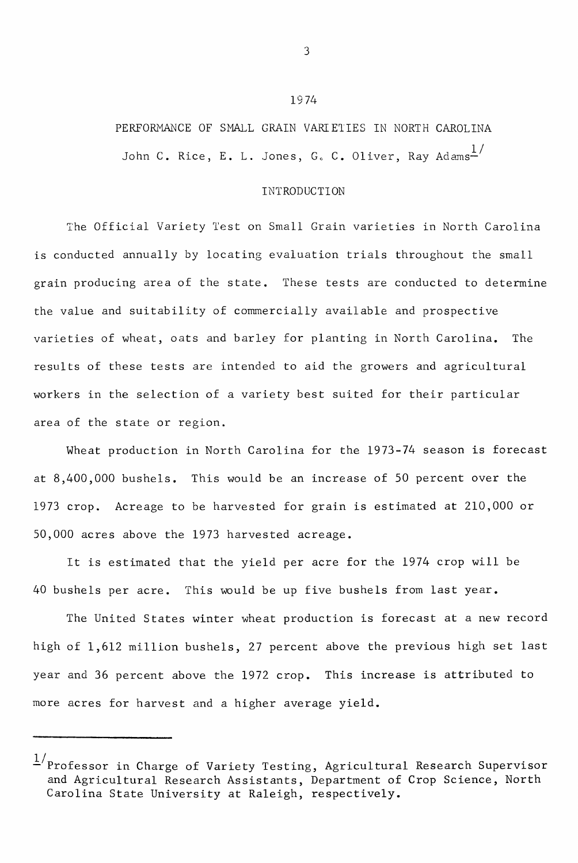### PERFORMANCE OF SMALL GRAIN VARIETIES IN NORTH CAROLINA John C. Rice, E. L. Jones, G. C. Oliver, Ray Adams $\frac{1}{2}$

1974

#### INTRODUCTION

The Official Variety Test on Small Grain varieties in North Carolina is conducted annually by locating evaluation trials throughout the small grain producing area of the state. These tests are conducted to determine the value and suitability of commercially available and prospective varieties of wheat, oats and barley for planting in North Carolina. The results of these tests are intended to aid the growers and agricultural workers in the selection of <sup>a</sup> variety best suited for their particular area of the state or region.

Wheat production in North Carolina for the 1973-74 season is forecast at 8,400,000 bushels. This would be an increase of 50 percent over the 1973 crop. Acreage to be harvested for grain is estimated at 210,000 or 50,000 acres above the 1973 harvested acreage.

It is estimated that the yield per acre for the 1974 crop will be 40 bushels per acre. This would be up five bushels from last year.

The United States winter wheat production is forecast at <sup>a</sup> new record high of 1,612 million bushels, 27 percent above the previous high set last year and 36 percent above the 1972 crop. This increase is attributed to more acres for harvest and a higher average yield.

 $\frac{1}{2}$ Professor in Charge of Variety Testing, Agricultural Research Supervisor and Agricultural Research Assistants, Department of Crop Science, North Carolina State University at Raleigh, respectively.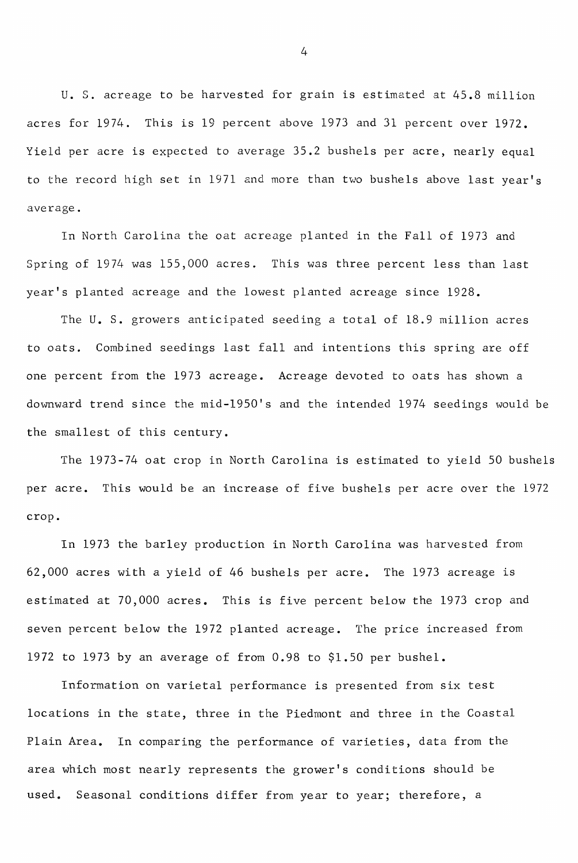U. S. acreage to be harvested for grain is estimated at 45.8 million acres for 1974. This is <sup>19</sup> percent above 1973 and <sup>31</sup> percent over 1972. Yield per acre is expected to average 35.2 bushels per acre, nearly equal to the record high set in 1971 and more than two bushels above last year's average.

In North Carolina the oat acreage planted in the Fall of 1973 and Spring of 1974 was 155,000 acres. This was three percent less than last year's planted acreage and the lowest planted acreage since 1928.

The U. S. growers anticipated seeding <sup>a</sup> total of 18.9 million acres to oats. Combined seedings last fall and intentions this spring are off one percent from the 1973 acreage. Acreage devoted to oats has shown a downward trend since the mid-1950's and the intended 1974 seedings would be the smallest of this century.

The 1973-74 oat crop in North Carolina is estimated to yield <sup>50</sup> bushels per acre. This would be an increase of five bushels per acre over the 1972 crop.

In 1973 the barley production in North Carolina was harvested from 62,000 acres with a yield of 46 bushels per acre. The 1973 acreage is estimated at 70,000 acres. This is five percent below the 1973 crop and seven percent below the 1972 planted acreage. The price increased from 1972 to 1973 by an average of from 0.98 to \$1.50 per bushel.

Information on varietal performance is presented from six test locations in the state, three in the Piedmont and three in the Coastal Plain Area. In comparing the performance of varieties, data from the area which most nearly represents the grower's conditions should be used. Seasonal conditions differ from year to year; therefore, <sup>a</sup>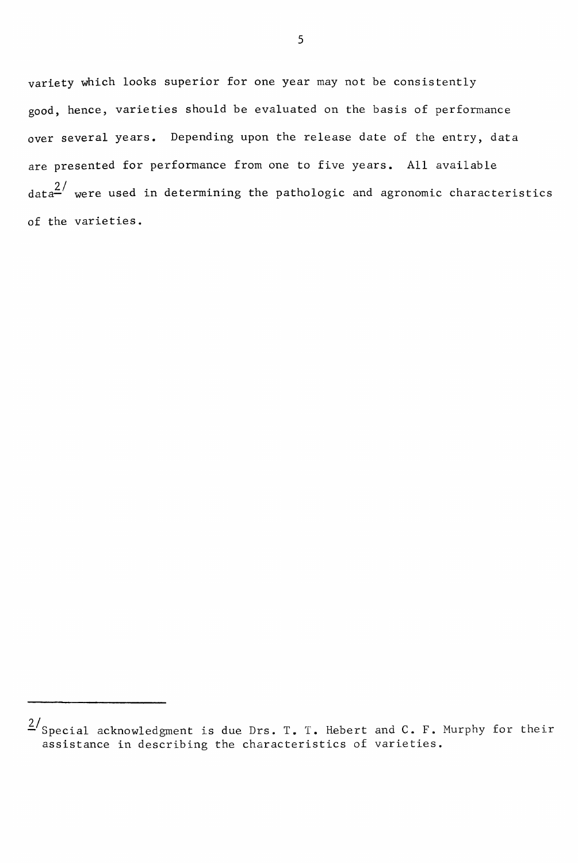variety which looks superior for one year may not be consistently good, hence, varieties should be evaluated on the basis of performance over several years. Depending upon the release date of the entry, data are presented for performance from one to five years. All available  $\frac{2}{\pi}$  were used in determining the pathologic and agronomic characteristics of the varieties.

 $\frac{2}{s}$ Special acknowledgment is due Drs. T. T. Hebert and C. F. Murphy for their assistance in describing the characteristics of varieties.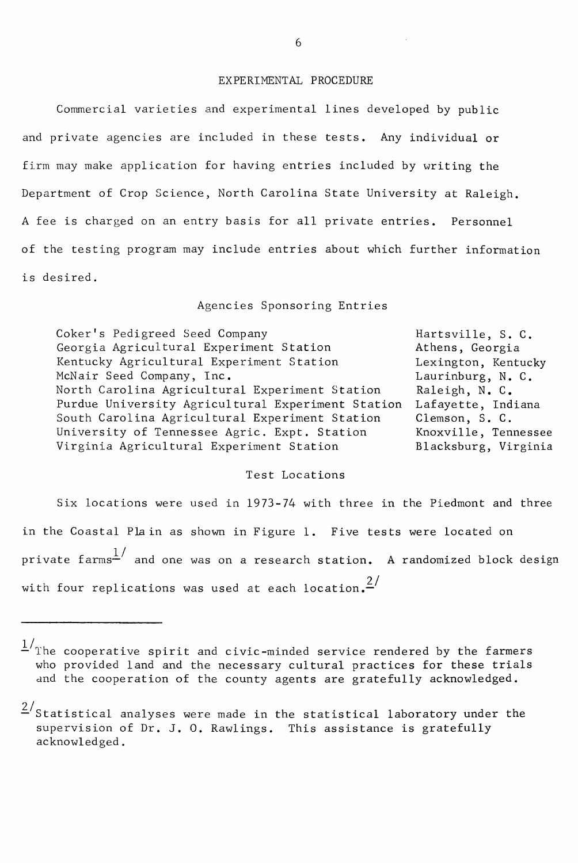#### EXPERIMENTAL PROCEDURE

Commercial varieties and experimental lines developed by public and private agencies are included in these tests. Any individual or firm may make application for having entries included by writing the Department of Crop Science, North Carolina State University at Raleigh. <sup>A</sup> fee is charged on an entry basis for all private entries. Personnel of the testing program may include entries about which further information is desired.

#### Agencies Sponsoring Entries

| Coker's Pedigreed Seed Company                    | Hartsville, S. C.    |
|---------------------------------------------------|----------------------|
| Georgia Agricultural Experiment Station           | Athens, Georgia      |
| Kentucky Agricultural Experiment Station          | Lexington, Kentucky  |
| McNair Seed Company, Inc.                         | Laurinburg, N. C.    |
| North Carolina Agricultural Experiment Station    | Raleigh, N. C.       |
| Purdue University Agricultural Experiment Station | Lafayette, Indiana   |
| South Carolina Agricultural Experiment Station    | Clemson, S. C.       |
| University of Tennessee Agric. Expt. Station      | Knoxville, Tennessee |
| Virginia Agricultural Experiment Station          | Blacksburg, Virginia |

#### Test Locations

Six locations were used in 1973-74 with three in the Piedmont and three in the Coastal Pla in as shown in Figure 1. Five tests were located on private farms $^{\text{1}}{}'$  and one was on a research station**.** A randomized block design with four replications was used at each location. $\frac{2}{1}$ 

<sup>&</sup>lt;sup>1</sup>/The cooperative spirit and civic-minded service rendered by the farmers who provided land and the necessary cultural practices for these trials and the cooperation of the county agents are gratefully acknowledged.

 $2/$ Statistical analyses were made in the statistical laboratory under the supervision of Dr. J. O. Rawlings. This assistance is gratefully acknowledged.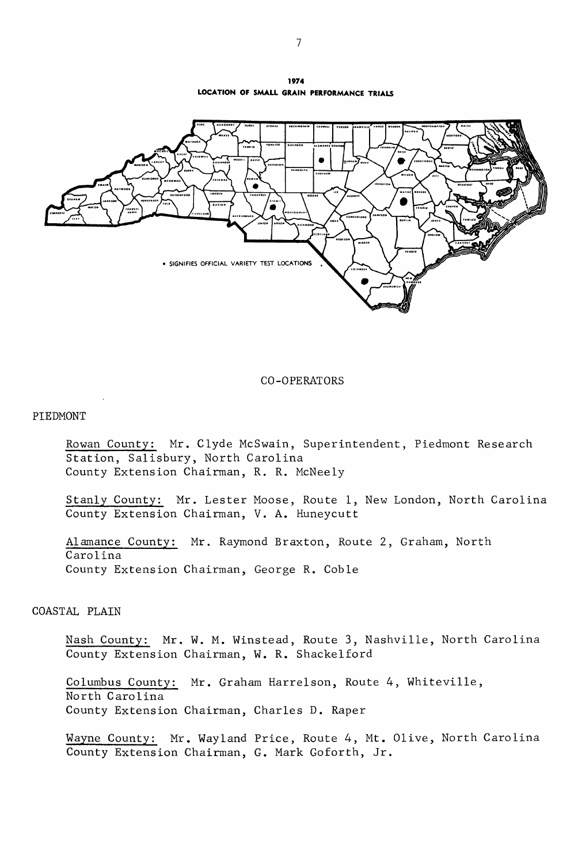**1974 LOCATION OF SMALL GRAIN PERFORMANCE TRIALS**



CO-OPERATORS

#### PIEDMONT

Rowan County: Mr. Clyde McSwain, Superintendent, Piedmont Research Station, Salisbury, North Carolina County Extension Chairman, R. R. McNeely

Stanly County: Mr. Lester Moose, Route 1, New London, North Carolina County Extension Chairman, V. A. Huneycutt

Alamance County: Mr. Raymond Braxton, Route 2, Graham, North Carolina County Extension Chairman, George R. Coble

#### COASTAL PLAIN

Nash County: Mr. W. M. Winstead, Route 3, Nashville, North Carolina County Extension Chairman, W. R. Shackelford

Columbus County: Mr. Graham Harrelson, Route 4, Whiteville, North Carolina County Extension Chairman, Charles D. Raper

Wayne County: Mr. Wayland Price, Route 4, Mt. Olive, North Carolina County Extension Chairman, G. Mark Goforth, Jr.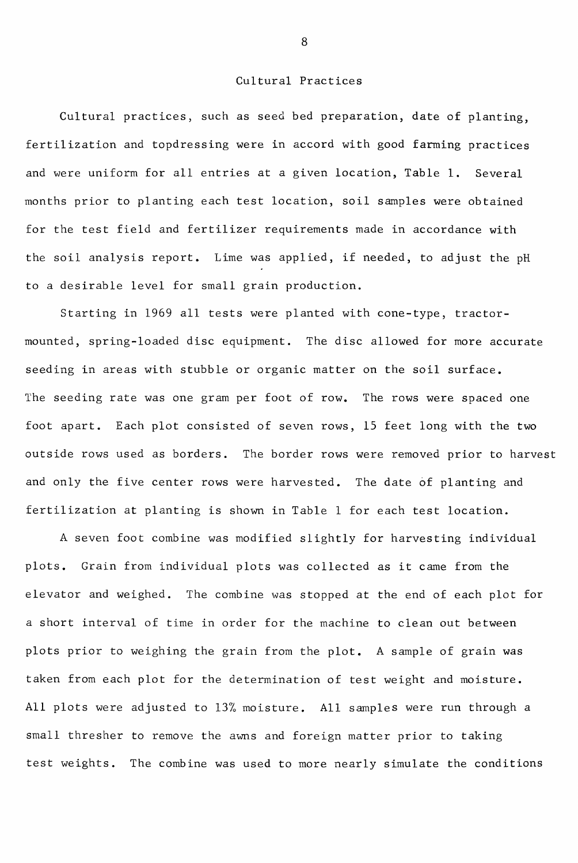#### Cultural Practices

Cultural practices, such as seed bed preparation, date of planting, fertilization and topdressing were in accord with good farming practices and were uniform for all entries at <sup>a</sup> given location, Table 1. Several months prior to planting each test location, soil samples were obtained for the test field and fertilizer requirements made in accordance with the soil analysis report. Lime was applied, if needed, to adjust the pH to a desirable level for small grain production.

Starting in 1969 all tests were planted with cone-type, tractormounted, spring-loaded disc equipment. The disc allowed for more accurate seeding in areas with stubble or organic matter on the soil surface. The seeding rate was one gram per foot of row. The rows were spaced one foot apart. Each plot consisted of seven rows, 15 feet long with the two outside rows used as borders. The border rows were removed prior to harvest and only the five center rows were harvested. The date 6f planting and fertilization at planting is shown in Table <sup>1</sup> for each test location.

<sup>A</sup> seven foot combine was modified slightly for harvesting individual plots. Grain from individual plots was collected as it came from the elevator and weighed. The combine was stopped at the end of each plot for a short interval of time in order for the machine to clean out between plots prior to weighing the grain from the plot. A sample of grain was taken from each plot for the determination of test weight and moisture. All plots were adjusted to 13% moisture. All samples were run through a small thresher to remove the awns and foreign matter prior to taking test weights. The combine was used to more nearly simulate the conditions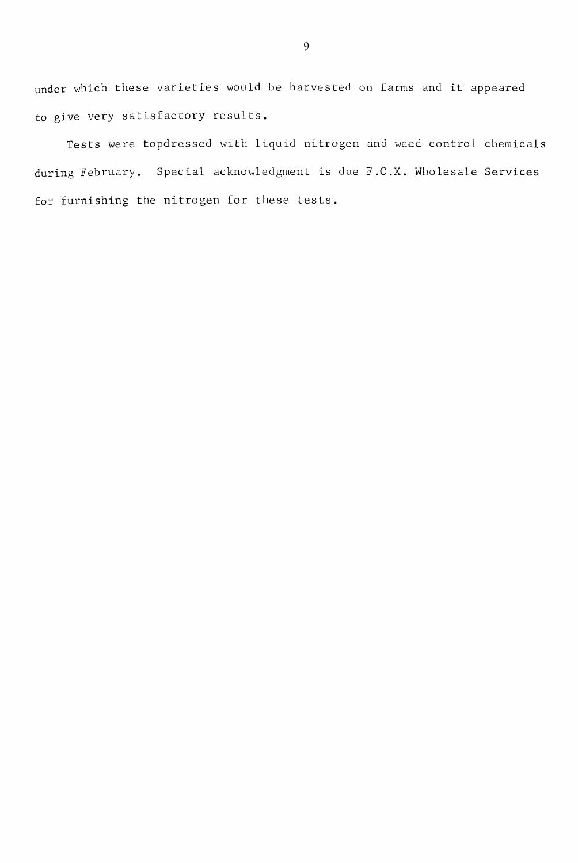under which these varieties would be harvested on farms and it appeared to give very satisfactory results.

Tests were topdressed with liquid nitrogen and weed control chemicals during February. Special acknowledgment is due F.C.X. Wholesale Services for furnishing the nitrogen for these tests.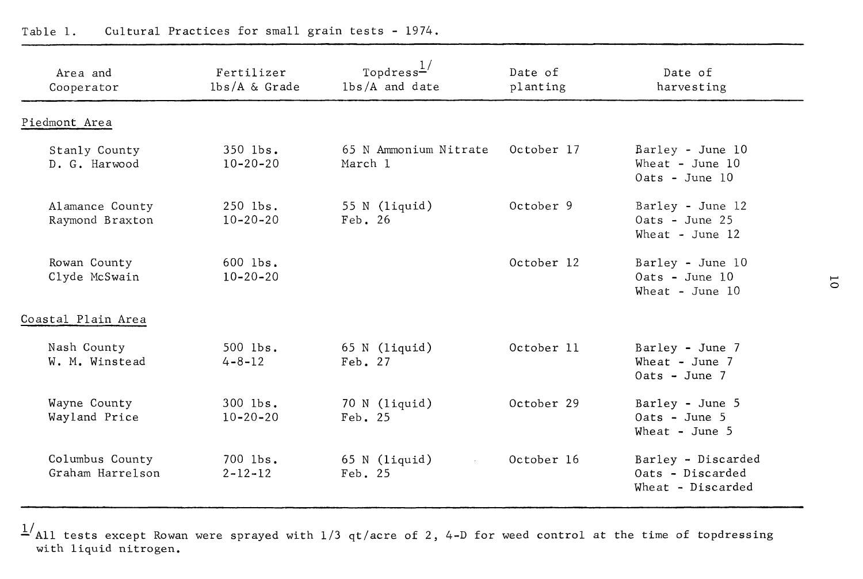| Area and<br>Cooperator              | Fertilizer<br>$lbs/A \&$ Grade  | Topdress $\frac{1}{ }$<br>$1b/s/A$ and date | Date of<br>planting | Date of<br>harvesting                                       |   |
|-------------------------------------|---------------------------------|---------------------------------------------|---------------------|-------------------------------------------------------------|---|
| Piedmont Area                       |                                 |                                             |                     |                                                             |   |
| Stanly County<br>D. G. Harwood      | $350$ $1bs$ .<br>$10 - 20 - 20$ | 65 N Ammonium Nitrate<br>March 1            | October 17          | Barley - June 10<br>Wheat - June $10$<br>Oats - June 10     |   |
| Alamance County<br>Raymond Braxton  | 250 lbs.<br>$10 - 20 - 20$      | 55 N (liquid)<br>Feb. 26                    | October 9           | Barley - June 12<br>$0ats - June 25$<br>Wheat - June $12$   |   |
| Rowan County<br>Clyde McSwain       | 600 lbs.<br>$10 - 20 - 20$      |                                             | October 12          | Barley - June 10<br>$0ats - June 10$<br>Wheat - June $10$   | ō |
| Coastal Plain Area                  |                                 |                                             |                     |                                                             |   |
| Nash County<br>W. M. Winstead       | $500$ lbs.<br>$4 - 8 - 12$      | $65 N$ (liquid)<br>Feb. 27                  | October 11          | Barley - June 7<br>Wheat - June $7$<br>$0ats - June 7$      |   |
| Wayne County<br>Wayland Price       | 300 lbs.<br>$10 - 20 - 20$      | $70 N$ (liquid)<br>Feb. 25                  | October 29          | Barley - June 5<br>$0ats - June 5$<br>Wheat - June $5$      |   |
| Columbus County<br>Graham Harrelson | 700 lbs.<br>$2 - 12 - 12$       | $65 N$ (liquid)<br>Feb. 25                  | October 16          | Barley - Discarded<br>Oats - Discarded<br>Wheat - Discarded |   |

l/All tests except Rowan were sprayed with 1/3 *qt/acre* of 2, 4-D for weed control at the time of topdressing with liquid nitrogen.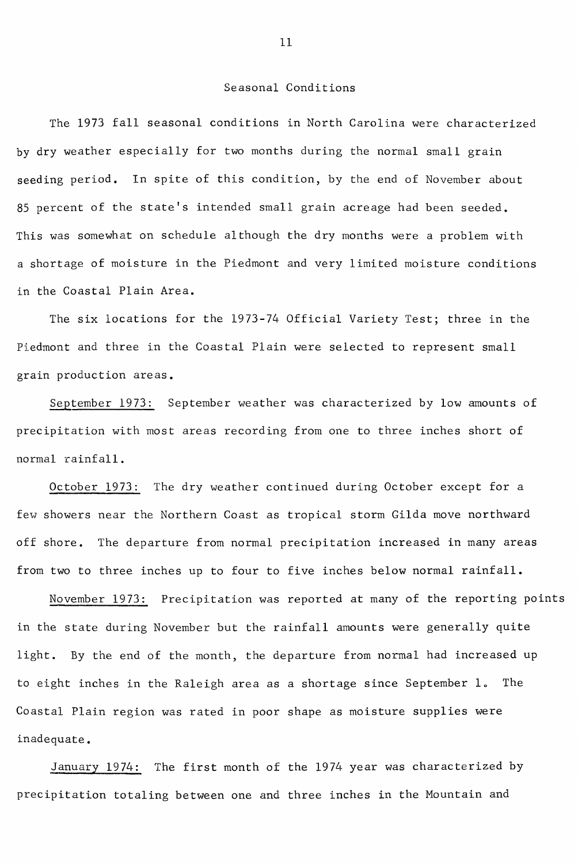#### Seasonal Conditions

The 1973 fall seasonal conditions in North Carolina were characterized by dry weather especially for two months during the normal small grain seeding period. In spite of this condition, by the end of November about <sup>85</sup> percent of the state's intended small grain acreage had been seeded. This was somewhat on schedule although the dry months were a problem with a shortage of moisture in the Piedmont and very limited moisture conditions in the Coastal Plain Area.

The six locations for the 1973-74 Official Variety Test; three in the Piedmont and three in the Coastal Plain were selected to represent small grain production areas.

September 1973: September weather was characterized by low amounts of precipitation with most areas recording from one to three inches short of normal rainfall.

October 1973: The dry weather continued during October except for a few showers near the Northern Coast as tropical storm Gilda move northward off shore. The departure from normal precipitation increased in many areas from two to three inches up to four to five inches below normal rainfall.

November 1973: Precipitation was reported at many of the reporting points in the state during November but the rainfall amounts were generally quite light. By the end of the month, the departure from normal had increased up to eight inches in the Raleigh area as a shortage since September  $l<sub>o</sub>$ . The Coastal Plain region was rated in poor shape as moisture supplies were inadequate.

January 1974: The first month of the 1974 year was characterized by precipitation totaling between one and three inches in the Mountain and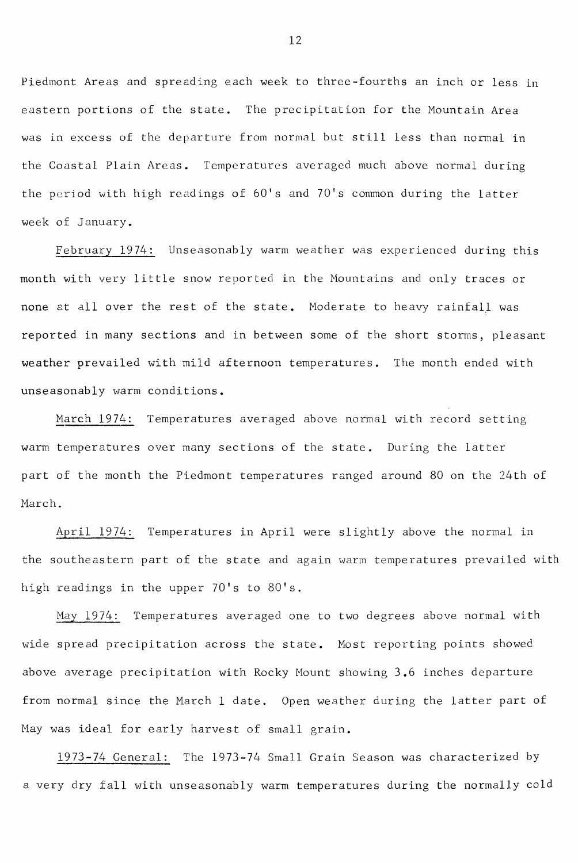Piedmont Areas and spreading each week to three-fourths an inch or less in eastern portions of the state. The precipitation for the Mountain Area was in excess of the departure from normal but still less than normal in the Coastal Plain Areas. Temperatures averaged much above normal during the period with high readings of 60's and 70's common during the latter week of January.

February 1974: Unseasonably warm weather was experienced during this month with very little snow reported in the Mountains and only traces or none at all over the rest of the state. Moderate to heavy rainfall was reported in many sections and in between some of the short storms, pleasant weather prevailed with mild afternoon temperatures. The month ended with unseasonably warm conditions.

March 1974: Temperatures averaged above normal with record setting warm temperatures over many sections of the state. During the latter part of the month the Piedmont temperatures ranged around 80 on the 24th of March.

April 1974: Temperatures in April were slightly above the normal in the southeastern part of the state and again warm temperatures prevailed with high readings in the upper 70's to 80's.

*Mal* 1974: Temperatures averaged one to two degrees above normal with wide spread precipitation across the state. Most reporting points showed above average precipitation with Rocky Mount showing 3.6 inches departure from normal since the March <sup>1</sup> date. Open weather during the latter part of May was ideal for early harvest of small grain.

1973-74 General: The 1973-74 Small Grain Season was characterized by <sup>a</sup> very dry fall with unseasonably warm temperatures during the normally cold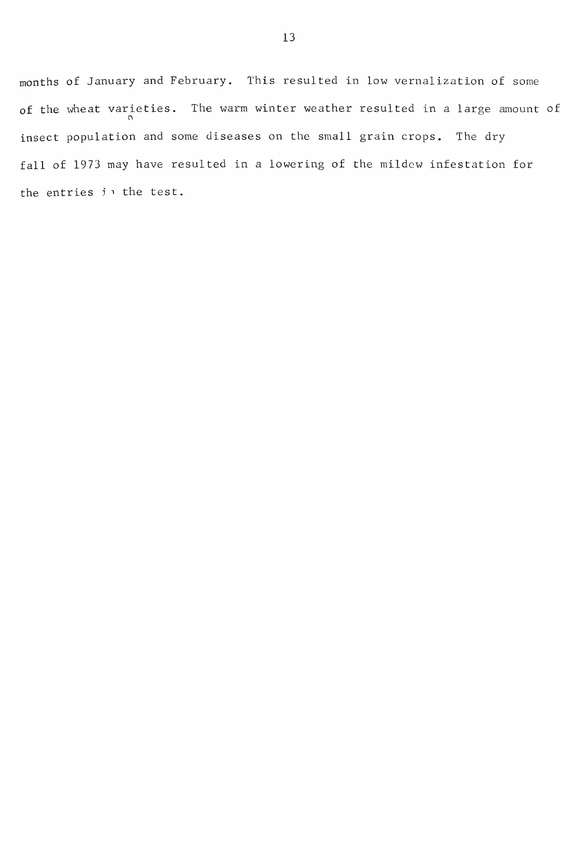months of January and February. This resulted in low vernalization of some of the wheat varieties. The warm winter weather resulted in a large amount of insect population and some diseases on the small grain crops. The dry fall of 1973 may have resulted in <sup>a</sup> lowering of the mildew infestation for the entries in the test.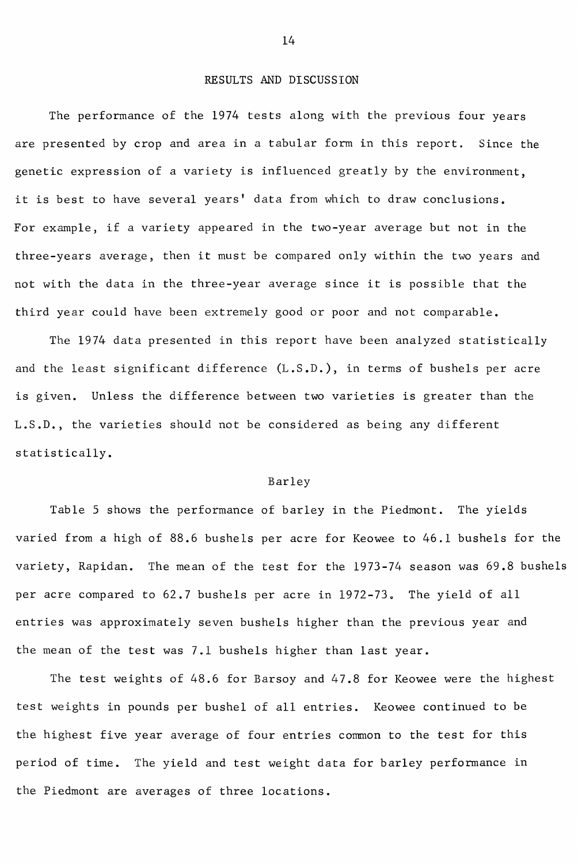#### RESULTS AND DISCUSSION

The performance of the 1974 tests along with the previous four years are presented by crop and area in a tabular form in this report. Since the genetic expression of a variety is influenced greatly by the environment, it is best to have several years' data from which to draw conclusions. For example, if <sup>a</sup> variety appeared in the two-year average but not in the three-years average, then it must be compared only within the two years and not with the data in the three-year average since it is possible that the third year could have been extremely good or poor and not comparable.

The 1974 data presented in this report have been analyzed statistically and the least significant difference (L.S.D.), in terms of bushels per acre is given. Unless the difference between two varieties is greater than the L.S.D., the varieties should not be considered as being any different statistically.

#### Barley

Table 5 shows the performance of barley in the Piedmont. The yields varied from a high of 88.6 bushels per acre for Keowee to 46.1 bushels for the variety, Rapidan. The mean of the test for the 1973-74 season was 69.8 bushels per acre compared to 62.7 bushels per acre in 1972-73. The yield of all entries was approximately seven bushels higher than the previous year and the mean of the test was 7.1 bushels higher than last year.

The test weights of 48.6 for Barsoy and 47.8 for Keowee were the highest test weights in pounds per bushel of all entries. Keowee continued to be the highest five year average of four entries common to the test for this period of time. The yield and test weight data for barley performance in the Piedmont are averages of three locations.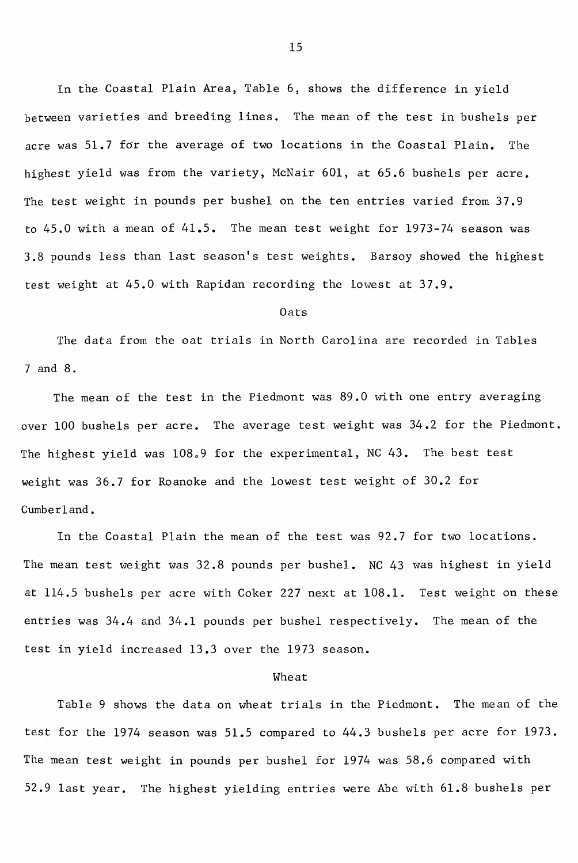In the Coastal Plain Area, Table 6, shows the difference in yield between varieties and breeding lines. The mean of the test in bushels per acre was 51.7 for the average of two locations in the Coastal Plain. The highest yield was from the variety, McNair 601, at 65.6 bushels per acre. The test weight in pounds per bushel on the ten entries varied from 37.9 to 45.0 with a mean of 41.5. The mean test weight for 1973-74 season was 3.8 pounds less than last season's test weights. Barsoy showed the highest test weight at 45.0 with Rapidan recording the lowest at 37.9.

#### Oats

The data from the oat trials in North Carolina are recorded in Tables 7 and 8.

The mean of the test in the Piedmont was 89.0 with one entry averaging over 100 bushels per acre. The average test weight was 34.2 for the Piedmont. The highest yield was  $108.9$  for the experimental, NC 43. The best test weight was 36.7 for Roanoke and the lowest test weight of 30.2 for Cumberland.

In the Coastal Plain the mean of the test was 92.7 for two locations. The mean test weight was 32.8 pounds per bushel. NC 43 was highest in yield at 114.5 bushels per acre with Coker 227 next at 108.1. Test weight on these entries was 34.4 and 34.1 pounds per bushel respectively. The mean of the test in yield increased 13.3 over the 1973 season.

#### Wheat

Table 9 shows the data on wheat trials in the Piedmont. The mean of the test for the 1974 season was 51.5 compared to 44.3 bushels per acre for 1973. The mean test weight in pounds per bushel for 1974 was 58.6 compared with 52.9 last year. The highest yielding entries were Abe with 61.8 bushels per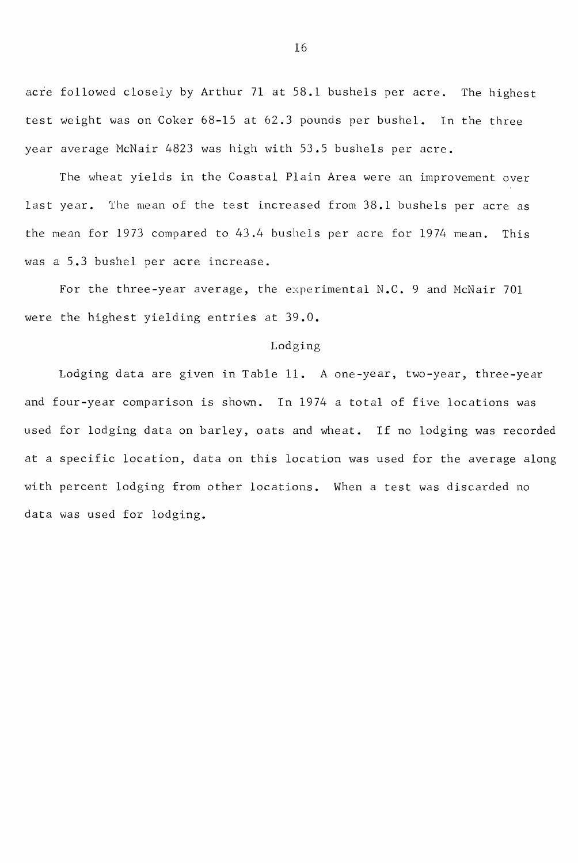acre followed closely by Arthur 71 at 58.1 bushels per acre. The highest test weight was on Coker 68-15 at 62.3 pounds per bushel. In the three year average McNair 4823 was high with 53.5 bushels per acre.

The wheat yields in the Coastal Plain Area were an improvement over last year. The mean of the test increased from 38.1 bushels per acre as the mean for 1973 compared to 43.4 bushels per acre for 1974 mean. This was a 5.3 bushel per acre increase.

For the three-year average, the experimental N.C. 9 and McNair 701 were the highest yielding entries at 39.0.

#### Lodging

Lodging data are given in Table **11.** A one-year, two-year, three-year and four-year comparison is shown. In 1974 <sup>a</sup> total of five locations was used for lodging data on barley, oats and wheat. If no lodging was recorded at a specific location, data on this location was used for the average along with percent lodging from other locations. When a test was discarded no data was used for lodging.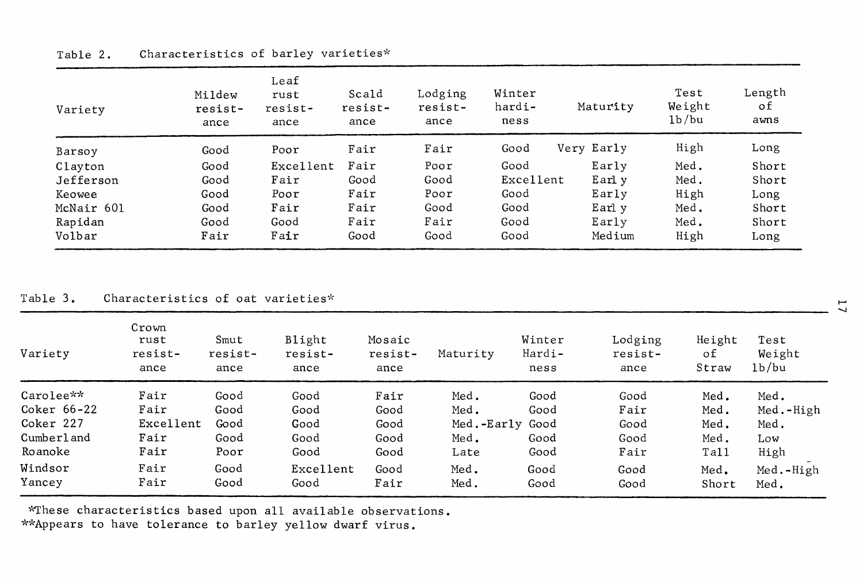| Variety    | Mildew<br>resist-<br>ance | Leaf<br>rust<br>resist-<br>ance | Scald<br>resist-<br>ance | Lodging<br>resist-<br>ance | Winter<br>hardi-<br>ness | Maturity        | Test<br>Weight<br>1b/bu | Length<br>οf<br>awns |
|------------|---------------------------|---------------------------------|--------------------------|----------------------------|--------------------------|-----------------|-------------------------|----------------------|
| Barsoy     | Good                      | Poor                            | Fair                     | Fair                       | Good                     | Very Early      | High                    | Long                 |
| Clayton    | Good                      | Excellent                       | Fair                     | Poor                       | Good                     | Early           | Med.                    | Short                |
| Jefferson  | Good                      | Fair                            | Good                     | Good                       | Excellent                | Earl y          | Med.                    | Short                |
| Keowee     | Good                      | Poor                            | Fair                     | Poor                       | Good                     | Early           | High                    | Long                 |
| McNair 601 | Good                      | Fair                            | Fair                     | Good                       | Good                     | Earl y          | Med.                    | Short                |
| Rapidan    | Good                      | Good                            | Fair                     | Fair                       | Good                     | $_{\rm{E}$ arly | Med.                    | Short                |
| Volbar     | Fair                      | Fair                            | Good                     | Good                       | Good                     | Medium          | High                    | Long                 |

#### Table 2. Characteristics of barley varieties\*

Table 3. Characteristics of oat varieties\* .....

| Variety     | Crown<br>rust<br>resist-<br>ance | Smut<br>resist-<br>ance | Blight<br>resist-<br>ance | Mosaic<br>resist-<br>ance | Maturity        | Winter<br>Hardi-<br>ness | Lodging<br>resist-<br>ance | Height<br>οf<br>Straw | Test<br>Weight<br>1b/bu |
|-------------|----------------------------------|-------------------------|---------------------------|---------------------------|-----------------|--------------------------|----------------------------|-----------------------|-------------------------|
| Carolee**   | Fair                             | Good                    | Good                      | Fair                      | Med.            | Good                     | Good                       | Med.                  | Med.                    |
| Coker 66-22 | Fair                             | Good                    | Good                      | Good                      | Med.            | Good                     | Fair                       | Med.                  | Med.-High               |
| Coker 227   | Excellent                        | Good                    | Good                      | Good                      | Med.-Early Good |                          | Good                       | Med.                  | Med.                    |
| Cumberland  | Fair                             | Good                    | Good                      | Good                      | Med.            | Good                     | Good                       | Med.                  | Low                     |
| Roanoke     | Fair                             | Poor                    | Good                      | Good                      | Late            | Good                     | Fair                       | Tall                  | High                    |
| Windsor     | Fair                             | Good                    | Excellent                 | Good                      | Med.            | Good                     | Good                       | Med.                  | Med.-High               |
| Yancey      | Fair                             | Good                    | Good                      | Fair                      | Med.            | Good                     | Good                       | Short                 | Med.                    |

~~hese characteristics based upon all available observations.

\*\*Appears to have tolerance to barley yellow dwarf virus.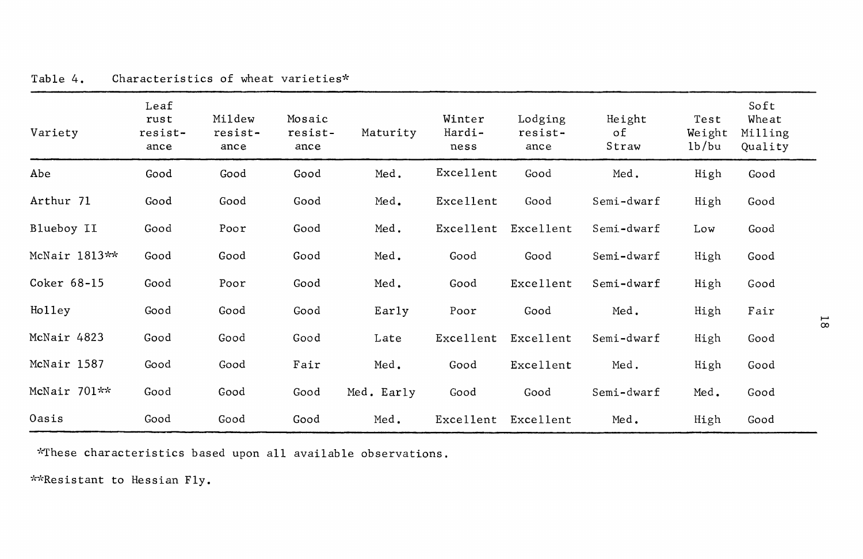| Variety       | Leaf<br>rust<br>resist-<br>ance | Mildew<br>resist-<br>ance | Mosaic<br>resist-<br>ance | Maturity   | Winter<br>Hardi-<br>ness | Lodging<br>resist-<br>ance | Height<br>оf<br>Straw | Test<br>Weight<br>1b/bu | Soft<br>Wheat<br>Milling<br>Quality |                     |
|---------------|---------------------------------|---------------------------|---------------------------|------------|--------------------------|----------------------------|-----------------------|-------------------------|-------------------------------------|---------------------|
| Abe           | Good                            | Good                      | Good                      | Med.       | Excellent                | Good                       | Med.                  | High                    | Good                                |                     |
| Arthur 71     | Good                            | Good                      | Good                      | Med.       | Excellent                | Good                       | Semi-dwarf            | High                    | Good                                |                     |
| Blueboy II    | Good                            | Poor                      | Good                      | Med.       | Excellent                | Excellent                  | Semi-dwarf            | Low                     | Good                                |                     |
| McNair 1813** | Good                            | Good                      | Good                      | Med.       | Good                     | Good                       | Semi-dwarf            | High                    | Good                                |                     |
| Coker 68-15   | Good                            | Poor                      | Good                      | Med.       | Good                     | Excellent                  | Semi-dwarf            | High                    | Good                                |                     |
| Holley        | Good                            | Good                      | Good                      | Early      | Poor                     | Good                       | Med.                  | High                    | Fair                                |                     |
| McNair 4823   | Good                            | Good                      | Good                      | Late       | Excellent                | Excellent                  | Semi-dwarf            | High                    | Good                                | $\overline{\alpha}$ |
| McNair 1587   | Good                            | Good                      | Fair                      | Med.       | Good                     | Excellent                  | Med.                  | High                    | Good                                |                     |
| McNair 701**  | Good                            | Good                      | Good                      | Med. Early | Good                     | Good                       | Semi-dwarf            | Med.                    | Good                                |                     |
| Oasis         | Good                            | Good                      | Good                      | Med.       | Excellent                | Excellent                  | Med.                  | High                    | Good                                |                     |

Table 4. Characteristics of wheat varieties\*

~~hese characteristics based upon all available observations.

\*\*Resistant to Hessian Fly.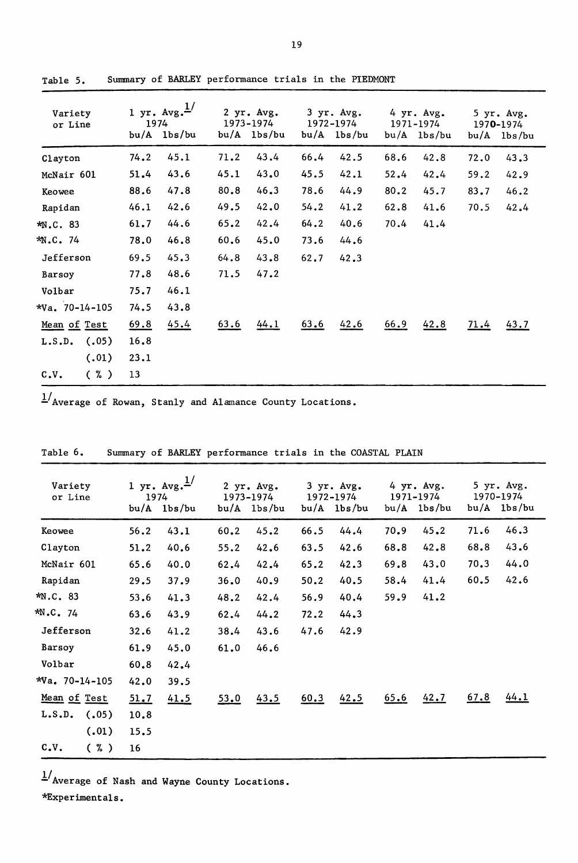| Variety<br>or Line | 1974 | 1 yr. $Avg.$ <sup>1/</sup><br>$bu/A$ $1bs/bu$ |      | 2 yr. Avg.<br>1973-1974<br>$bu/A$ $1bs/bu$ |      | 3 yr. Avg.<br>1972-1974<br>$bu/A$ $1bs/bu$ |      | 4 yr. Avg.<br>1971-1974<br>$bu/A$ $1bs/bu$ | bu/A | 5 yr. Avg.<br>1970-1974<br>lbs/bu |
|--------------------|------|-----------------------------------------------|------|--------------------------------------------|------|--------------------------------------------|------|--------------------------------------------|------|-----------------------------------|
| Clayton            | 74.2 | 45.1                                          | 71.2 | 43.4                                       | 66.4 | 42.5                                       | 68.6 | 42.8                                       | 72.0 | 43.3                              |
| McNair 601         | 51.4 | 43.6                                          | 45.1 | 43.0                                       | 45.5 | 42.1                                       | 52.4 | 42.4                                       | 59.2 | 42.9                              |
| Keowee             | 88.6 | 47.8                                          | 80.8 | 46.3                                       | 78.6 | 44.9                                       | 80.2 | 45.7                                       | 83.7 | 46.2                              |
| Rapidan            | 46.1 | 42.6                                          | 49.5 | 42.0                                       | 54.2 | 41.2                                       | 62.8 | 41.6                                       | 70.5 | 42.4                              |
| *N.C. 83           | 61.7 | 44.6                                          | 65.2 | 42.4                                       | 64.2 | 40.6                                       | 70.4 | 41.4                                       |      |                                   |
| *N.C. 74           | 78.0 | 46.8                                          | 60.6 | 45.0                                       | 73.6 | 44.6                                       |      |                                            |      |                                   |
| Jefferson          | 69.5 | 45.3                                          | 64.8 | 43.8                                       | 62.7 | 42.3                                       |      |                                            |      |                                   |
| Barsoy             | 77.8 | 48.6                                          | 71.5 | 47.2                                       |      |                                            |      |                                            |      |                                   |
| Volbar             | 75.7 | 46.1                                          |      |                                            |      |                                            |      |                                            |      |                                   |
| $*$ Va. 70-14-105  | 74.5 | 43.8                                          |      |                                            |      |                                            |      |                                            |      |                                   |
| Mean of Test       | 69.8 | 45.4                                          | 63.6 | 44.1                                       | 63.6 | 42.6                                       | 66.9 | 42.8                                       | 71.4 | 43.7                              |
| (.05)<br>L.S.D.    | 16.8 |                                               |      |                                            |      |                                            |      |                                            |      |                                   |
| (.01)              | 23.1 |                                               |      |                                            |      |                                            |      |                                            |      |                                   |
| $(\% )$<br>c.v.    | 13   |                                               |      |                                            |      |                                            |      |                                            |      |                                   |

Table 5. Summary of BARLEY performance trials in the PIEDMONT

 $\frac{1}{4}$ Average of Rowan, Stanly and Alamance County Locations.

| Variety<br>or Line    | 1974 | 1 yr. $Avg.$ <sup>1/</sup><br>$bu/A$ $1bs/bu$ |      | 2 yr. Avg.<br>1973-1974<br>$bu/A$ $1bs/bu$ |      | 3 yr. Avg.<br>1972-1974<br>$bu/A$ $1bs/bu$ |      | 4 yr. Avg.<br>1971-1974<br>$bu/A$ $1bs/bu$ |      | 5 yr. Avg.<br>1970-1974<br>$bu/A$ $1bs/bu$ |
|-----------------------|------|-----------------------------------------------|------|--------------------------------------------|------|--------------------------------------------|------|--------------------------------------------|------|--------------------------------------------|
| Keowee                | 56.2 | 43.1                                          | 60.2 | 45.2                                       | 66.5 | 44.4                                       | 70.9 | 45.2                                       | 71.6 | 46.3                                       |
| Clayton               | 51.2 | 40.6                                          | 55.2 | 42.6                                       | 63.5 | 42.6                                       | 68.8 | 42.8                                       | 68.8 | 43.6                                       |
| McNair 601            | 65.6 | 40.0                                          | 62.4 | 42.4                                       | 65.2 | 42.3                                       | 69.8 | 43.0                                       | 70.3 | 44.0                                       |
| Rapidan               | 29.5 | 37.9                                          | 36.0 | 40.9                                       | 50.2 | 40.5                                       | 58.4 | 41.4                                       | 60.5 | 42.6                                       |
| *N.C. 83              | 53.6 | 41.3                                          | 48.2 | 42.4                                       | 56.9 | 40.4                                       | 59.9 | 41.2                                       |      |                                            |
| *N.C. 74              | 63.6 | 43.9                                          | 62.4 | 44.2                                       | 72.2 | 44.3                                       |      |                                            |      |                                            |
| Jefferson             | 32.6 | 41.2                                          | 38.4 | 43.6                                       | 47.6 | 42.9                                       |      |                                            |      |                                            |
| Barsoy                | 61.9 | 45.0                                          | 61.0 | 46.6                                       |      |                                            |      |                                            |      |                                            |
| Volbar                | 60.8 | 42.4                                          |      |                                            |      |                                            |      |                                            |      |                                            |
| $*Va. 70-14-105$      | 42.0 | 39.5                                          |      |                                            |      |                                            |      |                                            |      |                                            |
| Mean of Test          | 51.7 | 41.5                                          | 53.0 | 43.5                                       | 60.3 | 42.5                                       | 65.6 | 42.7                                       | 67.8 | 44.1                                       |
| L.S.D.<br>(.05)       | 10.8 |                                               |      |                                            |      |                                            |      |                                            |      |                                            |
| (.01)                 | 15.5 |                                               |      |                                            |      |                                            |      |                                            |      |                                            |
| $c_v$ .<br>$(\kappa)$ | 16   |                                               |      |                                            |      |                                            |      |                                            |      |                                            |

Table 6. Summary of BARLEY performance trials in the COASTAL PLAIN

 $\frac{1}{4}$  Average of Nash and Wayne County Locations.

\*Experimenta1s.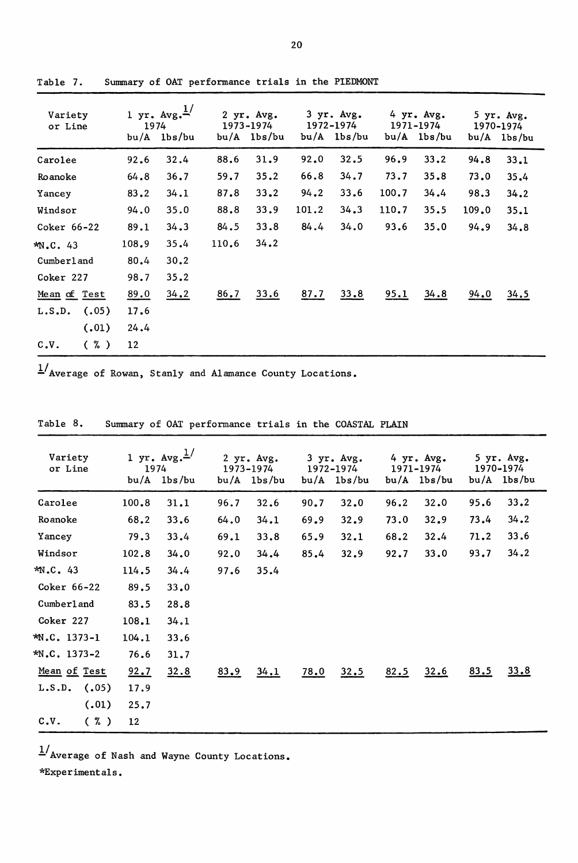| Variety<br>or Line | 1974  | 1 yr. $Avg. \frac{1}{2}$<br>$bu/A$ $1bs/bu$ |       | 2 yr. Avg.<br>1973-1974<br>$bu/A$ $1bs/bu$ |       | 3 yr. Avg.<br>1972-1974<br>$bu/A$ $1bs/bu$ |       | 4 yr. Avg.<br>1971-1974<br>$bu/A$ $1bs/bu$ |       | 5 yr. Avg.<br>1970-1974<br>bu/A 1bs/bu |
|--------------------|-------|---------------------------------------------|-------|--------------------------------------------|-------|--------------------------------------------|-------|--------------------------------------------|-------|----------------------------------------|
| Carolee            | 92.6  | 32.4                                        | 88.6  | 31.9                                       | 92.0  | 32.5                                       | 96.9  | 33.2                                       | 94.8  | 33.1                                   |
| Roanoke            | 64.8  | 36.7                                        | 59.7  | 35.2                                       | 66.8  | 34.7                                       | 73.7  | 35.8                                       | 73.0  | 35.4                                   |
| Yancey             | 83.2  | 34.1                                        | 87.8  | 33.2                                       | 94.2  | 33.6                                       | 100.7 | 34.4                                       | 98.3  | 34.2                                   |
| Windsor            | 94.0  | 35.0                                        | 88.8  | 33.9                                       | 101.2 | 34.3                                       | 110.7 | 35.5                                       | 109.0 | 35.1                                   |
| Coker 66-22        | 89.1  | 34.3                                        | 84.5  | 33.8                                       | 84.4  | 34.0                                       | 93.6  | 35.0                                       | 94.9  | 34.8                                   |
| $*N.C. 43$         | 108.9 | 35.4                                        | 110.6 | 34.2                                       |       |                                            |       |                                            |       |                                        |
| Cumberland         | 80.4  | 30.2                                        |       |                                            |       |                                            |       |                                            |       |                                        |
| Coker 227          | 98.7  | 35.2                                        |       |                                            |       |                                            |       |                                            |       |                                        |
| Mean of Test       | 89.0  | 34.2                                        | 86.7  | 33.6                                       | 87.7  | 33.8                                       | 95.1  | 34.8                                       | 94.0  | 34.5                                   |
| (.05)<br>L.S.D.    | 17.6  |                                             |       |                                            |       |                                            |       |                                            |       |                                        |
| (.01)              | 24.4  |                                             |       |                                            |       |                                            |       |                                            |       |                                        |
| $(\% )$<br>c.v.    | 12    |                                             |       |                                            |       |                                            |       |                                            |       |                                        |

Table 7. Summary of OAT performance trials in the PIEDMONT

 $1/\sqrt{2}$  Average of Rowan, Stanly and Alamance County Locations.

| Variety<br>or Line | 1974  | 1 yr. $Avg. \frac{1}{s}$<br>$bu/A$ $1bs/bu$ | 1973-1974 | 2 yr. Avg.<br>$bu/A$ $1bs/bu$ |      | 3 yr. Avg.<br>1972-1974<br>$bu/A$ $1bs/bu$ |      | 4 yr. Avg.<br>1971-1974<br>$bu/A$ $1bs/bu$ |      | 5 yr. Avg.<br>1970-1974<br>$bu/A$ $1bs/bu$ |
|--------------------|-------|---------------------------------------------|-----------|-------------------------------|------|--------------------------------------------|------|--------------------------------------------|------|--------------------------------------------|
| Carolee            | 100.8 | 31.1                                        | 96.7      | 32.6                          | 90.7 | 32.0                                       | 96.2 | 32.0                                       | 95.6 | 33.2                                       |
| Roanoke            | 68.2  | 33.6                                        | 64.0      | 34.1                          | 69.9 | 32.9                                       | 73.0 | 32.9                                       | 73.4 | 34.2                                       |
| Yancey             | 79.3  | 33.4                                        | 69.1      | 33.8                          | 65.9 | 32.1                                       | 68.2 | 32.4                                       | 71.2 | 33.6                                       |
| Windsor            | 102.8 | 34.0                                        | 92.0      | 34.4                          | 85.4 | 32.9                                       | 92.7 | 33.0                                       | 93.7 | 34.2                                       |
| *N.C. 43           | 114.5 | 34.4                                        | 97.6      | 35.4                          |      |                                            |      |                                            |      |                                            |
| Coker 66-22        | 89.5  | 33.0                                        |           |                               |      |                                            |      |                                            |      |                                            |
| Cumberland         | 83.5  | 28.8                                        |           |                               |      |                                            |      |                                            |      |                                            |
| Coker 227          | 108.1 | 34.1                                        |           |                               |      |                                            |      |                                            |      |                                            |
| *N.C. 1373-1       | 104.1 | 33.6                                        |           |                               |      |                                            |      |                                            |      |                                            |
| $N.C. 1373-2$      | 76.6  | 31.7                                        |           |                               |      |                                            |      |                                            |      |                                            |
| Mean of Test       | 92.7  | 32.8                                        | 83.9      | 34.1                          | 78.0 | 32.5                                       | 82.5 | 32.6                                       | 83.5 | 33.8                                       |
| $L.S.D.$ (.05)     | 17.9  |                                             |           |                               |      |                                            |      |                                            |      |                                            |
| (.01)              | 25.7  |                                             |           |                               |      |                                            |      |                                            |      |                                            |
| $c_v$ .<br>(%)     | 12    |                                             |           |                               |      |                                            |      |                                            |      |                                            |

Table 8. Summary of OAT performance trials in the COASTAL PLAIN

 $\frac{1}{4}$ Average of Nash and Wayne County Locations. \*Experimenta1s.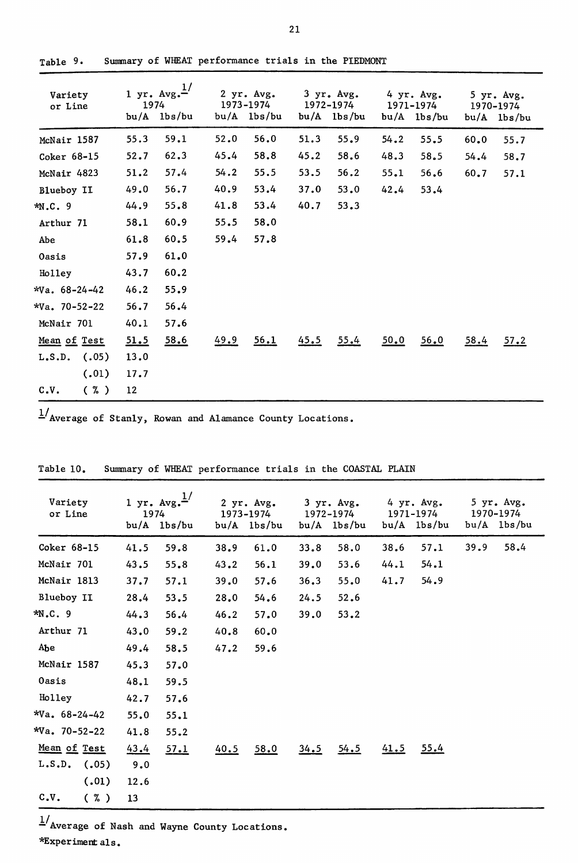| Variety<br>or Line | 1974 | 1 yr. $Avg.$ <sup>1/</sup><br>$bu/A$ $1bs/bu$ |      | 2 yr. Avg.<br>1973-1974<br>$bu/A$ $1bs/bu$ |      | 3 yr. Avg.<br>1972-1974<br>$bu/A$ $1bs/bu$ |      | 4 yr. Avg.<br>1971-1974<br>$bu/A$ $1bs/bu$ |      | 5 yr. Avg.<br>1970-1974<br>bu/A lbs/bu |
|--------------------|------|-----------------------------------------------|------|--------------------------------------------|------|--------------------------------------------|------|--------------------------------------------|------|----------------------------------------|
| McNair 1587        | 55.3 | 59.1                                          | 52.0 | 56.0                                       | 51.3 | 55.9                                       | 54.2 | 55.5                                       | 60.0 | 55.7                                   |
| Coker 68-15        | 52.7 | 62.3                                          | 45.4 | 58.8                                       | 45.2 | 58.6                                       | 48.3 | 58.5                                       | 54.4 | 58.7                                   |
| McNair 4823        | 51.2 | 57.4                                          | 54.2 | 55.5                                       | 53.5 | 56.2                                       | 55.1 | 56.6                                       | 60.7 | 57.1                                   |
| Blueboy II         | 49.0 | 56.7                                          | 40.9 | 53.4                                       | 37.0 | 53.0                                       | 42.4 | 53.4                                       |      |                                        |
| $*N.C.9$           | 44.9 | 55.8                                          | 41.8 | 53.4                                       | 40.7 | 53.3                                       |      |                                            |      |                                        |
| Arthur 71          | 58.1 | 60.9                                          | 55.5 | 58.0                                       |      |                                            |      |                                            |      |                                        |
| Abe                | 61.8 | 60.5                                          | 59.4 | 57.8                                       |      |                                            |      |                                            |      |                                        |
| Oasis              | 57.9 | 61.0                                          |      |                                            |      |                                            |      |                                            |      |                                        |
| Holley             | 43.7 | 60.2                                          |      |                                            |      |                                            |      |                                            |      |                                        |
| $*Va. 68-24-42$    | 46.2 | 55.9                                          |      |                                            |      |                                            |      |                                            |      |                                        |
| $*Va$ . 70-52-22   | 56.7 | 56.4                                          |      |                                            |      |                                            |      |                                            |      |                                        |
| McNair 701         | 40.1 | 57.6                                          |      |                                            |      |                                            |      |                                            |      |                                        |
| Mean of Test       | 51.5 | 58.6                                          | 49.9 | 56.1                                       | 45.5 | 55.4                                       | 50.0 | 56.0                                       | 58.4 | 57.2                                   |
| (.05)<br>L.S.D.    | 13.0 |                                               |      |                                            |      |                                            |      |                                            |      |                                        |
| (.01)              | 17.7 |                                               |      |                                            |      |                                            |      |                                            |      |                                        |
| C.V.<br>$(\kappa)$ | 12   |                                               |      |                                            |      |                                            |      |                                            |      |                                        |

Table 9. Summary of WHEAT performance trials in the PIEDMONT

 $\frac{1}{4}$ Average of Stanly, Rowan and Alamance County Locations.

| Variety<br>or Line  | 1974 | 1 yr. $Avg.$ <sup>1/</sup><br>$bu/A$ $1bs/bu$ |      | 2 yr. Avg.<br>1973-1974<br>$bu/A$ $1bs/bu$ |      | 3 yr. Avg.<br>1972-1974<br>$bu/A$ $lbs/bu$ |      | 4 yr. Avg.<br>1971-1974<br>$bu/A$ $1bs/bu$ |      | 5 yr. Avg.<br>1970-1974<br>$bu/A$ $1bs/bu$ |
|---------------------|------|-----------------------------------------------|------|--------------------------------------------|------|--------------------------------------------|------|--------------------------------------------|------|--------------------------------------------|
| Coker 68-15         | 41.5 | 59.8                                          | 38.9 | 61.0                                       | 33.8 | 58.0                                       | 38.6 | 57.1                                       | 39.9 | 58.4                                       |
| McNair 701          | 43.5 | 55.8                                          | 43.2 | 56.1                                       | 39.0 | 53.6                                       | 44.1 | 54.1                                       |      |                                            |
| McNair 1813         | 37.7 | 57.1                                          | 39.0 | 57.6                                       | 36.3 | 55.0                                       | 41.7 | 54.9                                       |      |                                            |
| Blueboy II          | 28.4 | 53.5                                          | 28.0 | 54.6                                       | 24.5 | 52.6                                       |      |                                            |      |                                            |
| $*N.C.9$            | 44.3 | 56.4                                          | 46.2 | 57.0                                       | 39.0 | 53.2                                       |      |                                            |      |                                            |
| Arthur 71           | 43.0 | 59.2                                          | 40.8 | 60.0                                       |      |                                            |      |                                            |      |                                            |
| AЪe                 | 49.4 | 58.5                                          | 47.2 | 59.6                                       |      |                                            |      |                                            |      |                                            |
| McNair 1587         | 45.3 | 57.0                                          |      |                                            |      |                                            |      |                                            |      |                                            |
| Oasis               | 48.1 | 59.5                                          |      |                                            |      |                                            |      |                                            |      |                                            |
| Holley              | 42.7 | 57.6                                          |      |                                            |      |                                            |      |                                            |      |                                            |
| $*Va$ , 68-24-42    | 55.0 | 55.1                                          |      |                                            |      |                                            |      |                                            |      |                                            |
| $*Va. 70-52-22$     | 41.8 | 55.2                                          |      |                                            |      |                                            |      |                                            |      |                                            |
| Mean of Test        | 43.4 | 57.1                                          | 40.5 | 58.0                                       | 34.5 | 54.5                                       | 41.5 | 55.4                                       |      |                                            |
| $L.S.D.$ (.05)      | 9.0  |                                               |      |                                            |      |                                            |      |                                            |      |                                            |
| (.01)               | 12.6 |                                               |      |                                            |      |                                            |      |                                            |      |                                            |
| $c_v$<br>$(\kappa)$ | 13   |                                               |      |                                            |      |                                            |      |                                            |      |                                            |

Table 10. Summary of WHEAT performance trials in the COASTAL PLAIN

 $1/$  Average of Nash and Wayne County Locations.

\*Experiment als ,